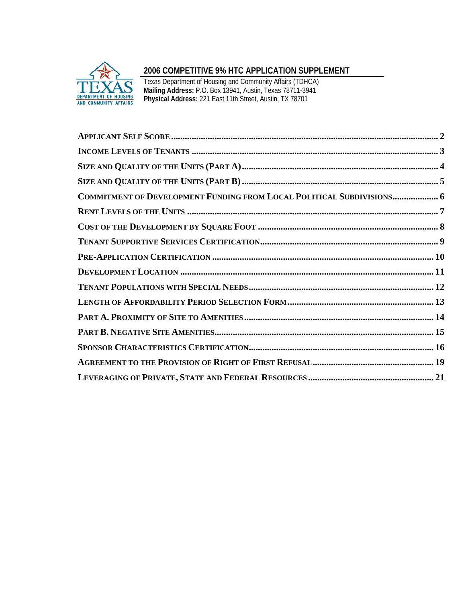

# **2006 COMPETITIVE 9% HTC APPLICATION SUPPLEMENT**

Texas Department of Housing and Community Affairs (TDHCA) **Mailing Address:** P.O. Box 13941, Austin, Texas 78711-3941 **Physical Address:** 221 East 11th Street, Austin, TX 78701

| COMMITMENT OF DEVELOPMENT FUNDING FROM LOCAL POLITICAL SUBDIVISIONS 6 |
|-----------------------------------------------------------------------|
|                                                                       |
|                                                                       |
|                                                                       |
|                                                                       |
|                                                                       |
|                                                                       |
|                                                                       |
|                                                                       |
|                                                                       |
|                                                                       |
|                                                                       |
|                                                                       |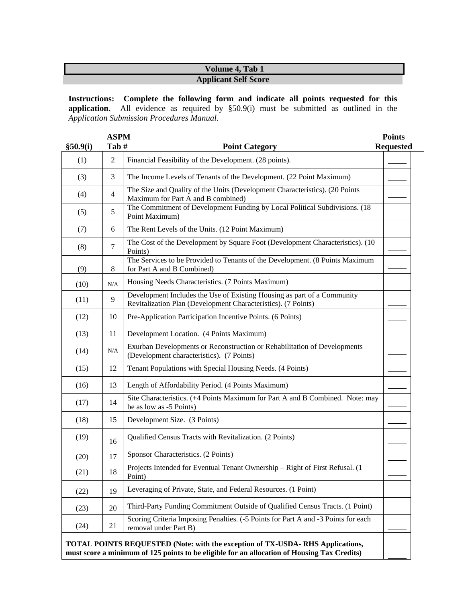# **Volume 4, Tab 1 Applicant Self Score**

**Instructions: Complete the following form and indicate all points requested for this application.** All evidence as required by §50.9(i) must be submitted as outlined in the *Application Submission Procedures Manual.*

| \$50.9(i) | <b>ASPM</b><br>Tab# | <b>Point Category</b>                                                                                                                    | <b>Points</b><br><b>Requested</b> |
|-----------|---------------------|------------------------------------------------------------------------------------------------------------------------------------------|-----------------------------------|
| (1)       | $\overline{2}$      | Financial Feasibility of the Development. (28 points).                                                                                   |                                   |
| (3)       | 3                   | The Income Levels of Tenants of the Development. (22 Point Maximum)                                                                      |                                   |
| (4)       | $\overline{4}$      | The Size and Quality of the Units (Development Characteristics). (20 Points<br>Maximum for Part A and B combined)                        |                                   |
| (5)       | 5                   | The Commitment of Development Funding by Local Political Subdivisions. (18)<br>Point Maximum)                                            |                                   |
| (7)       | 6                   | The Rent Levels of the Units. (12 Point Maximum)                                                                                         |                                   |
| (8)       | $\tau$              | The Cost of the Development by Square Foot (Development Characteristics). (10<br>Points)                                                 |                                   |
| (9)       | 8                   | The Services to be Provided to Tenants of the Development. (8 Points Maximum<br>for Part A and B Combined)                               |                                   |
| (10)      | N/A                 | Housing Needs Characteristics. (7 Points Maximum)                                                                                        |                                   |
| (11)      | 9                   | Development Includes the Use of Existing Housing as part of a Community<br>Revitalization Plan (Development Characteristics). (7 Points) |                                   |
| (12)      | 10                  | Pre-Application Participation Incentive Points. (6 Points)                                                                               |                                   |
| (13)      | 11                  | Development Location. (4 Points Maximum)                                                                                                 |                                   |
| (14)      | N/A                 | Exurban Developments or Reconstruction or Rehabilitation of Developments<br>(Development characteristics). (7 Points)                    |                                   |
| (15)      | 12                  | Tenant Populations with Special Housing Needs. (4 Points)                                                                                |                                   |
| (16)      | 13                  | Length of Affordability Period. (4 Points Maximum)                                                                                       |                                   |
| (17)      | 14                  | Site Characteristics. (+4 Points Maximum for Part A and B Combined. Note: may<br>be as low as -5 Points)                                 |                                   |
| (18)      | 15                  | Development Size. (3 Points)                                                                                                             |                                   |
| (19)      | 16                  | Qualified Census Tracts with Revitalization. (2 Points)                                                                                  |                                   |
| (20)      | 17                  | Sponsor Characteristics. (2 Points)                                                                                                      |                                   |
| (21)      | 18                  | Projects Intended for Eventual Tenant Ownership - Right of First Refusal. (1)<br>Point)                                                  |                                   |
| (22)      | 19                  | Leveraging of Private, State, and Federal Resources. (1 Point)                                                                           |                                   |
| (23)      | 20                  | Third-Party Funding Commitment Outside of Qualified Census Tracts. (1 Point)                                                             |                                   |
| (24)      | 21                  | Scoring Criteria Imposing Penalties. (-5 Points for Part A and -3 Points for each<br>removal under Part B)                               |                                   |

**must score a minimum of 125 points to be eligible for an allocation of Housing Tax Credits)**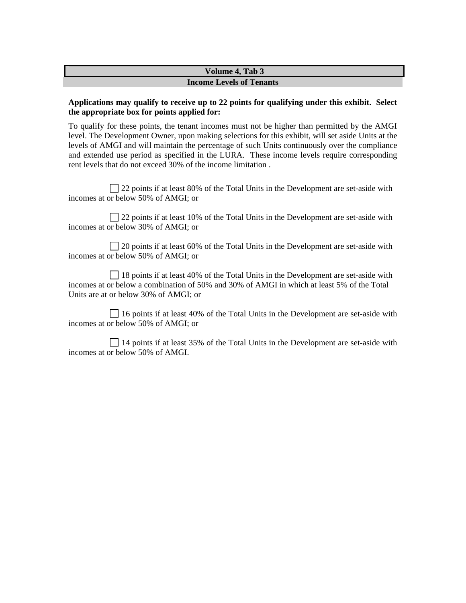#### **Volume 4, Tab 3 Income Levels of Tenants**

#### **Applications may qualify to receive up to 22 points for qualifying under this exhibit. Select the appropriate box for points applied for:**

To qualify for these points, the tenant incomes must not be higher than permitted by the AMGI level. The Development Owner, upon making selections for this exhibit, will set aside Units at the levels of AMGI and will maintain the percentage of such Units continuously over the compliance and extended use period as specified in the LURA. These income levels require corresponding rent levels that do not exceed 30% of the income limitation .

22 points if at least 80% of the Total Units in the Development are set-aside with incomes at or below 50% of AMGI; or

 $\Box$  22 points if at least 10% of the Total Units in the Development are set-aside with incomes at or below 30% of AMGI; or

□ 20 points if at least 60% of the Total Units in the Development are set-aside with incomes at or below 50% of AMGI; or

 18 points if at least 40% of the Total Units in the Development are set-aside with incomes at or below a combination of 50% and 30% of AMGI in which at least 5% of the Total Units are at or below 30% of AMGI; or

 16 points if at least 40% of the Total Units in the Development are set-aside with incomes at or below 50% of AMGI; or

 14 points if at least 35% of the Total Units in the Development are set-aside with incomes at or below 50% of AMGI.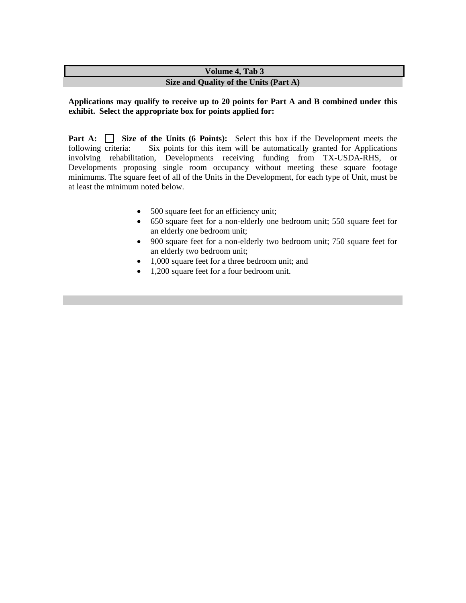## **Volume 4, Tab 3 Size and Quality of the Units (Part A)**

#### **Applications may qualify to receive up to 20 points for Part A and B combined under this exhibit. Select the appropriate box for points applied for:**

**Part A: Size of the Units (6 Points):** Select this box if the Development meets the following criteria: Six points for this item will be automatically granted for Applications involving rehabilitation, Developments receiving funding from TX-USDA-RHS, or Developments proposing single room occupancy without meeting these square footage minimums. The square feet of all of the Units in the Development, for each type of Unit, must be at least the minimum noted below.

- 500 square feet for an efficiency unit;
- 650 square feet for a non-elderly one bedroom unit; 550 square feet for an elderly one bedroom unit;
- 900 square feet for a non-elderly two bedroom unit; 750 square feet for an elderly two bedroom unit;
- 1,000 square feet for a three bedroom unit; and
- 1,200 square feet for a four bedroom unit.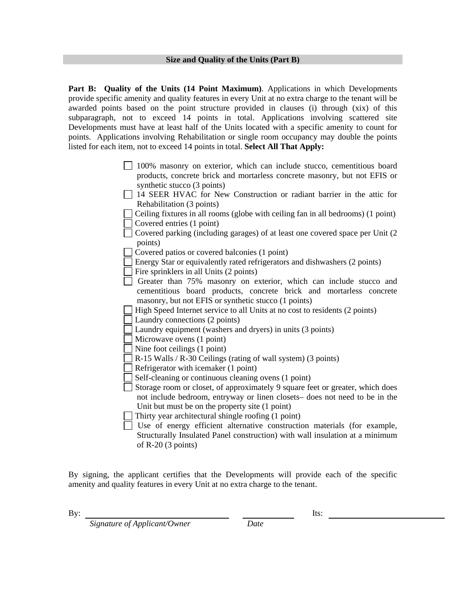**Part B: Quality of the Units (14 Point Maximum)**. Applications in which Developments provide specific amenity and quality features in every Unit at no extra charge to the tenant will be awarded points based on the point structure provided in clauses (i) through (xix) of this subparagraph, not to exceed 14 points in total. Applications involving scattered site Developments must have at least half of the Units located with a specific amenity to count for points. Applications involving Rehabilitation or single room occupancy may double the points listed for each item, not to exceed 14 points in total. **Select All That Apply:**

- 100% masonry on exterior, which can include stucco, cementitious board products, concrete brick and mortarless concrete masonry, but not EFIS or synthetic stucco (3 points)
- 14 SEER HVAC for New Construction or radiant barrier in the attic for Rehabilitation (3 points)

 $\Box$  Ceiling fixtures in all rooms (globe with ceiling fan in all bedrooms) (1 point) Covered entries (1 point)

- 
- $\Box$  Covered parking (including garages) of at least one covered space per Unit (2) points)
- Covered patios or covered balconies (1 point)
- Energy Star or equivalently rated refrigerators and dishwashers (2 points)
- Fire sprinklers in all Units  $(2 \text{ points})$
- $\Box$  Greater than 75% masonry on exterior, which can include stucco and cementitious board products, concrete brick and mortarless concrete masonry, but not EFIS or synthetic stucco (1 points)
- High Speed Internet service to all Units at no cost to residents (2 points)
- Laundry connections (2 points)
- Laundry equipment (washers and dryers) in units (3 points)
- Microwave ovens (1 point)
- Nine foot ceilings (1 point)
- R-15 Walls / R-30 Ceilings (rating of wall system) (3 points)
- Refrigerator with icemaker (1 point)
- Self-cleaning or continuous cleaning ovens (1 point)
- Storage room or closet, of approximately 9 square feet or greater, which does not include bedroom, entryway or linen closets– does not need to be in the Unit but must be on the property site (1 point)
- Thirty year architectural shingle roofing (1 point)
- $\Box$  Use of energy efficient alternative construction materials (for example, Structurally Insulated Panel construction) with wall insulation at a minimum of  $R-20$  (3 points)

By signing, the applicant certifies that the Developments will provide each of the specific amenity and quality features in every Unit at no extra charge to the tenant.

By:

*Signature of Applicant/Owner* Date

Its: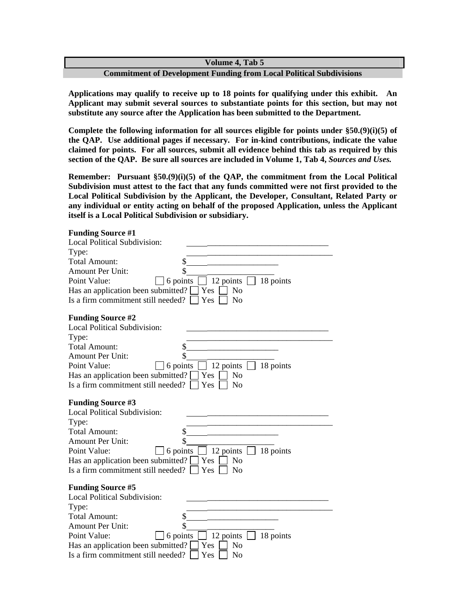**Commitment of Development Funding from Local Political Subdivisions** 

**Applications may qualify to receive up to 18 points for qualifying under this exhibit. An Applicant may submit several sources to substantiate points for this section, but may not substitute any source after the Application has been submitted to the Department.** 

**Complete the following information for all sources eligible for points under §50.(9)(i)(5) of the QAP. Use additional pages if necessary. For in-kind contributions, indicate the value claimed for points. For all sources, submit all evidence behind this tab as required by this section of the QAP. Be sure all sources are included in Volume 1, Tab 4,** *Sources and Uses.* 

**Remember: Pursuant §50.(9)(i)(5) of the QAP, the commitment from the Local Political Subdivision must attest to the fact that any funds committed were not first provided to the Local Political Subdivision by the Applicant, the Developer, Consultant, Related Party or any individual or entity acting on behalf of the proposed Application, unless the Applicant itself is a Local Political Subdivision or subsidiary.** 

| <b>Funding Source #1</b>          |
|-----------------------------------|
| <b>Local Political Subdivisio</b> |

| <b>Local Political Subdivision:</b>                                               |
|-----------------------------------------------------------------------------------|
| Type:                                                                             |
| \$<br>Total Amount:                                                               |
| \$<br><b>Amount Per Unit:</b>                                                     |
| 12 points $\Box$ 18 points<br>Point Value:<br>6 points                            |
| Has an application been submitted? $\square$<br>Yes<br>N <sub>0</sub>             |
| Is a firm commitment still needed?  <br>$\overline{\rm Y}$ es<br>No               |
| <b>Funding Source #2</b>                                                          |
| Local Political Subdivision:                                                      |
| Type:                                                                             |
| Total Amount:                                                                     |
| \$<br><b>Amount Per Unit:</b>                                                     |
| $\Box$ 12 points $\Box$ 18 points<br>Point Value:<br>6 points $\vert$             |
| $\sqsupset$ No<br>Has an application been submitted?<br>Yes 1                     |
| Is a firm commitment still needed?<br>$\vert$ Yes<br>No                           |
| <b>Funding Source #3</b>                                                          |
| Local Political Subdivision:                                                      |
| Type:                                                                             |
| <b>Total Amount:</b>                                                              |
| \$<br><b>Amount Per Unit:</b>                                                     |
| $\Box$ 6 points $\Box$ 12 points $\Box$ 18 points<br>Point Value:                 |
| Has an application been submitted? $\square$<br>No<br>Yes 1                       |
| Is a firm commitment still needed?<br>Yes<br>No                                   |
| <b>Funding Source #5</b>                                                          |
| <b>Local Political Subdivision:</b>                                               |
| Type:                                                                             |
| \$<br><b>Total Amount:</b>                                                        |
| \$<br>Amount Per Unit:                                                            |
| 12 points $\lfloor$<br>Point Value:<br>$\frac{1}{8}$ 18 points<br>$\Box$ 6 points |
| Has an application been submitted?<br>Yes<br>No                                   |
| Is a firm commitment still needed?<br>Yes<br>No                                   |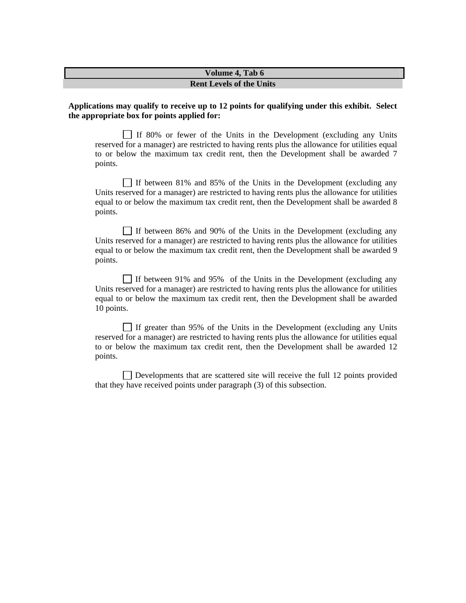#### **Rent Levels of the Units**

#### **Applications may qualify to receive up to 12 points for qualifying under this exhibit. Select the appropriate box for points applied for:**

 $\Box$  If 80% or fewer of the Units in the Development (excluding any Units reserved for a manager) are restricted to having rents plus the allowance for utilities equal to or below the maximum tax credit rent, then the Development shall be awarded 7 points.

If between 81% and 85% of the Units in the Development (excluding any Units reserved for a manager) are restricted to having rents plus the allowance for utilities equal to or below the maximum tax credit rent, then the Development shall be awarded 8 points.

If between 86% and 90% of the Units in the Development (excluding any Units reserved for a manager) are restricted to having rents plus the allowance for utilities equal to or below the maximum tax credit rent, then the Development shall be awarded 9 points.

If between 91% and 95% of the Units in the Development (excluding any Units reserved for a manager) are restricted to having rents plus the allowance for utilities equal to or below the maximum tax credit rent, then the Development shall be awarded 10 points.

If greater than 95% of the Units in the Development (excluding any Units reserved for a manager) are restricted to having rents plus the allowance for utilities equal to or below the maximum tax credit rent, then the Development shall be awarded 12 points.

Developments that are scattered site will receive the full 12 points provided that they have received points under paragraph (3) of this subsection.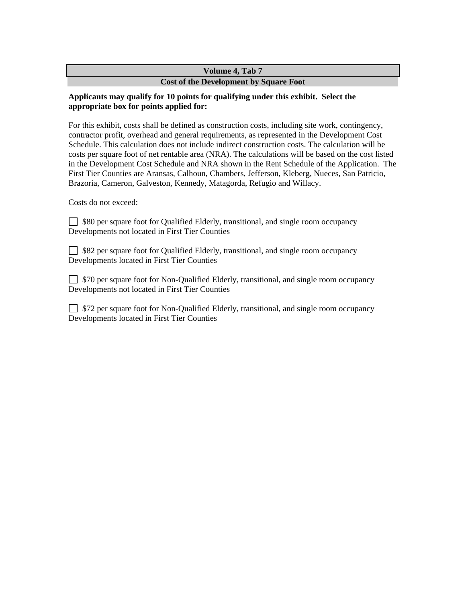# **Cost of the Development by Square Foot**

# **Applicants may qualify for 10 points for qualifying under this exhibit. Select the appropriate box for points applied for:**

For this exhibit, costs shall be defined as construction costs, including site work, contingency, contractor profit, overhead and general requirements, as represented in the Development Cost Schedule. This calculation does not include indirect construction costs. The calculation will be costs per square foot of net rentable area (NRA). The calculations will be based on the cost listed in the Development Cost Schedule and NRA shown in the Rent Schedule of the Application. The First Tier Counties are Aransas, Calhoun, Chambers, Jefferson, Kleberg, Nueces, San Patricio, Brazoria, Cameron, Galveston, Kennedy, Matagorda, Refugio and Willacy.

Costs do not exceed:

□ \$80 per square foot for Qualified Elderly, transitional, and single room occupancy Developments not located in First Tier Counties

□ \$82 per square foot for Qualified Elderly, transitional, and single room occupancy Developments located in First Tier Counties

 $\Box$  \$70 per square foot for Non-Qualified Elderly, transitional, and single room occupancy Developments not located in First Tier Counties

**S72** per square foot for Non-Qualified Elderly, transitional, and single room occupancy Developments located in First Tier Counties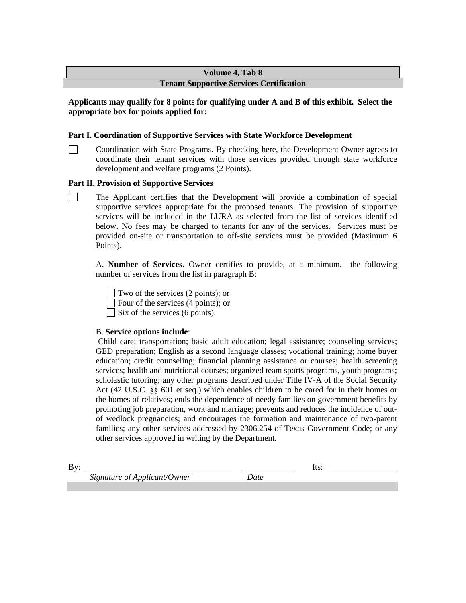#### **Tenant Supportive Services Certification**

## **Applicants may qualify for 8 points for qualifying under A and B of this exhibit. Select the appropriate box for points applied for:**

#### **Part I. Coordination of Supportive Services with State Workforce Development**

Coordination with State Programs. By checking here, the Development Owner agrees to coordinate their tenant services with those services provided through state workforce development and welfare programs (2 Points).

#### **Part II. Provision of Supportive Services**

 The Applicant certifies that the Development will provide a combination of special supportive services appropriate for the proposed tenants. The provision of supportive services will be included in the LURA as selected from the list of services identified below. No fees may be charged to tenants for any of the services. Services must be provided on-site or transportation to off-site services must be provided (Maximum 6 Points).

A. **Number of Services.** Owner certifies to provide, at a minimum, the following number of services from the list in paragraph B:

Two of the services (2 points); or Four of the services (4 points); or  $\Box$  Six of the services (6 points).

#### B. **Service options include**:

Child care; transportation; basic adult education; legal assistance; counseling services; GED preparation; English as a second language classes; vocational training; home buyer education; credit counseling; financial planning assistance or courses; health screening services; health and nutritional courses; organized team sports programs, youth programs; scholastic tutoring; any other programs described under Title IV-A of the Social Security Act (42 U.S.C. §§ 601 et seq.) which enables children to be cared for in their homes or the homes of relatives; ends the dependence of needy families on government benefits by promoting job preparation, work and marriage; prevents and reduces the incidence of outof wedlock pregnancies; and encourages the formation and maintenance of two-parent families; any other services addressed by 2306.254 of Texas Government Code; or any other services approved in writing by the Department.

By: Its: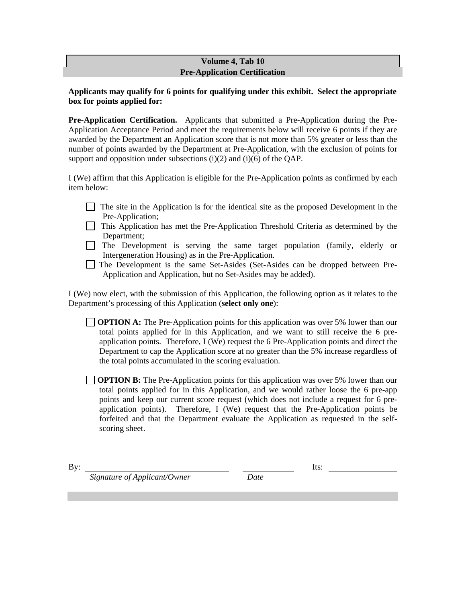#### **Volume 4, Tab 10 Pre-Application Certification**

#### **Applicants may qualify for 6 points for qualifying under this exhibit. Select the appropriate box for points applied for:**

**Pre-Application Certification.** Applicants that submitted a Pre-Application during the Pre-Application Acceptance Period and meet the requirements below will receive 6 points if they are awarded by the Department an Application score that is not more than 5% greater or less than the number of points awarded by the Department at Pre-Application, with the exclusion of points for support and opposition under subsections  $(i)(2)$  and  $(i)(6)$  of the QAP.

I (We) affirm that this Application is eligible for the Pre-Application points as confirmed by each item below:

- $\Box$  The site in the Application is for the identical site as the proposed Development in the Pre-Application;
- This Application has met the Pre-Application Threshold Criteria as determined by the Department;
- The Development is serving the same target population (family, elderly or Intergeneration Housing) as in the Pre-Application.
- The Development is the same Set-Asides (Set-Asides can be dropped between Pre-Application and Application, but no Set-Asides may be added).

I (We) now elect, with the submission of this Application, the following option as it relates to the Department's processing of this Application (**select only one**):

**OPTION A:** The Pre-Application points for this application was over 5% lower than our total points applied for in this Application, and we want to still receive the 6 preapplication points. Therefore, I (We) request the 6 Pre-Application points and direct the Department to cap the Application score at no greater than the 5% increase regardless of the total points accumulated in the scoring evaluation.

**OPTION B:** The Pre-Application points for this application was over 5% lower than our total points applied for in this Application, and we would rather loose the 6 pre-app points and keep our current score request (which does not include a request for 6 preapplication points). Therefore, I (We) request that the Pre-Application points be forfeited and that the Department evaluate the Application as requested in the selfscoring sheet.

By: Its: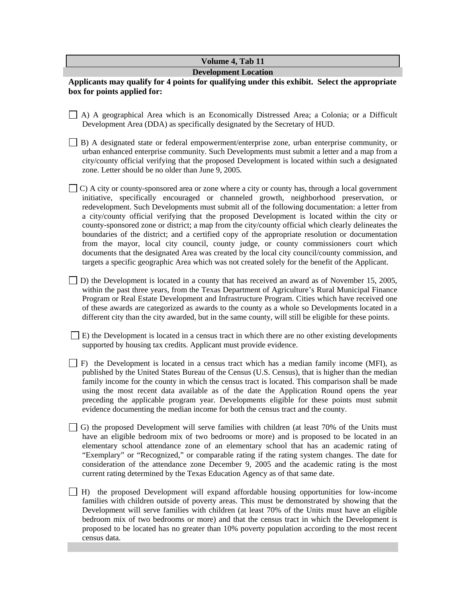#### **Development Location**

**Applicants may qualify for 4 points for qualifying under this exhibit. Select the appropriate box for points applied for:** 

- A) A geographical Area which is an Economically Distressed Area; a Colonia; or a Difficult Development Area (DDA) as specifically designated by the Secretary of HUD.
- B) A designated state or federal empowerment/enterprise zone, urban enterprise community, or urban enhanced enterprise community. Such Developments must submit a letter and a map from a city/county official verifying that the proposed Development is located within such a designated zone. Letter should be no older than June 9, 2005.
- C) A city or county-sponsored area or zone where a city or county has, through a local government initiative, specifically encouraged or channeled growth, neighborhood preservation, or redevelopment. Such Developments must submit all of the following documentation: a letter from a city/county official verifying that the proposed Development is located within the city or county-sponsored zone or district; a map from the city/county official which clearly delineates the boundaries of the district; and a certified copy of the appropriate resolution or documentation from the mayor, local city council, county judge, or county commissioners court which documents that the designated Area was created by the local city council/county commission, and targets a specific geographic Area which was not created solely for the benefit of the Applicant.
- D) the Development is located in a county that has received an award as of November 15, 2005, within the past three years, from the Texas Department of Agriculture's Rural Municipal Finance Program or Real Estate Development and Infrastructure Program. Cities which have received one of these awards are categorized as awards to the county as a whole so Developments located in a different city than the city awarded, but in the same county, will still be eligible for these points.

 $\Box$  E) the Development is located in a census tract in which there are no other existing developments supported by housing tax credits. Applicant must provide evidence.

- $\Box$  F) the Development is located in a census tract which has a median family income (MFI), as published by the United States Bureau of the Census (U.S. Census), that is higher than the median family income for the county in which the census tract is located. This comparison shall be made using the most recent data available as of the date the Application Round opens the year preceding the applicable program year. Developments eligible for these points must submit evidence documenting the median income for both the census tract and the county.
- $\Box$  G) the proposed Development will serve families with children (at least 70% of the Units must have an eligible bedroom mix of two bedrooms or more) and is proposed to be located in an elementary school attendance zone of an elementary school that has an academic rating of "Exemplary" or "Recognized," or comparable rating if the rating system changes. The date for consideration of the attendance zone December 9, 2005 and the academic rating is the most current rating determined by the Texas Education Agency as of that same date.
- $\Box$  H) the proposed Development will expand affordable housing opportunities for low-income families with children outside of poverty areas. This must be demonstrated by showing that the Development will serve families with children (at least 70% of the Units must have an eligible bedroom mix of two bedrooms or more) and that the census tract in which the Development is proposed to be located has no greater than 10% poverty population according to the most recent census data.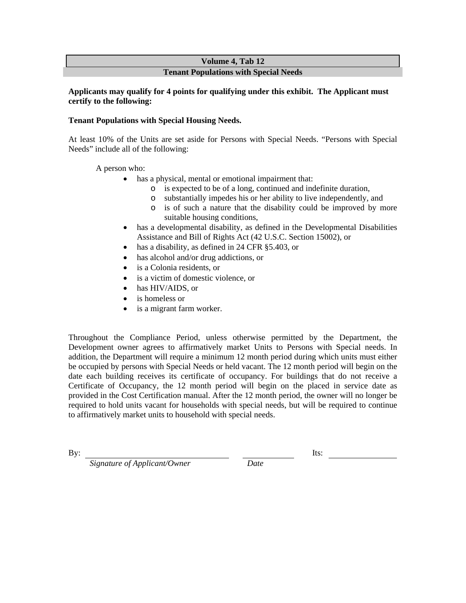#### **Volume 4, Tab 12 Tenant Populations with Special Needs**

#### **Applicants may qualify for 4 points for qualifying under this exhibit. The Applicant must certify to the following:**

## **Tenant Populations with Special Housing Needs.**

At least 10% of the Units are set aside for Persons with Special Needs. "Persons with Special Needs" include all of the following:

A person who:

- has a physical, mental or emotional impairment that:
	- o is expected to be of a long, continued and indefinite duration,
	- o substantially impedes his or her ability to live independently, and
	- o is of such a nature that the disability could be improved by more suitable housing conditions,
- has a developmental disability, as defined in the Developmental Disabilities Assistance and Bill of Rights Act (42 U.S.C. Section 15002), or
- has a disability, as defined in 24 CFR §5.403, or
- has alcohol and/or drug addictions, or
- is a Colonia residents, or
- is a victim of domestic violence, or
- has HIV/AIDS, or
- is homeless or
- is a migrant farm worker.

Throughout the Compliance Period, unless otherwise permitted by the Department, the Development owner agrees to affirmatively market Units to Persons with Special needs. In addition, the Department will require a minimum 12 month period during which units must either be occupied by persons with Special Needs or held vacant. The 12 month period will begin on the date each building receives its certificate of occupancy. For buildings that do not receive a Certificate of Occupancy, the 12 month period will begin on the placed in service date as provided in the Cost Certification manual. After the 12 month period, the owner will no longer be required to hold units vacant for households with special needs, but will be required to continue to affirmatively market units to household with special needs.

By: Its: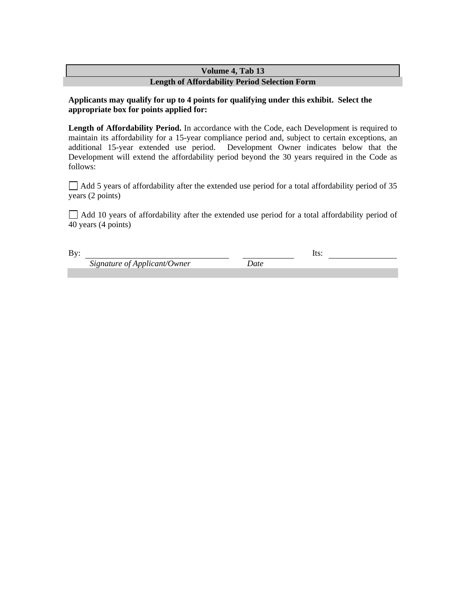# **Volume 4, Tab 13 Length of Affordability Period Selection Form**

## **Applicants may qualify for up to 4 points for qualifying under this exhibit. Select the appropriate box for points applied for:**

Length of Affordability Period. In accordance with the Code, each Development is required to maintain its affordability for a 15-year compliance period and, subject to certain exceptions, an additional 15-year extended use period. Development Owner indicates below that the Development will extend the affordability period beyond the 30 years required in the Code as follows:

 $\Box$  Add 5 years of affordability after the extended use period for a total affordability period of 35 years (2 points)

 $\Box$  Add 10 years of affordability after the extended use period for a total affordability period of 40 years (4 points)

By: Its: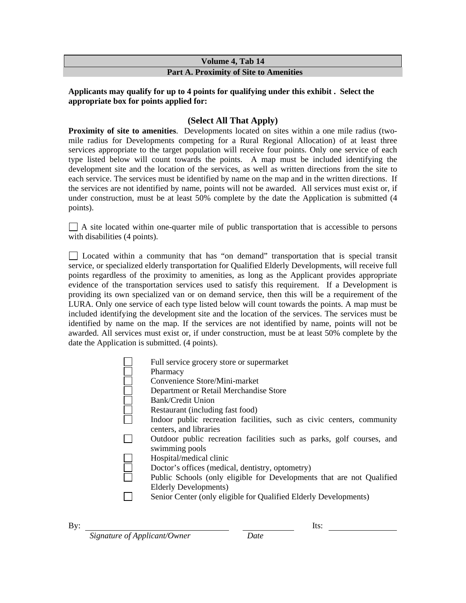# **Volume 4, Tab 14 Part A. Proximity of Site to Amenities**

# **Applicants may qualify for up to 4 points for qualifying under this exhibit . Select the appropriate box for points applied for:**

# **(Select All That Apply)**

**Proximity of site to amenities**. Developments located on sites within a one mile radius (twomile radius for Developments competing for a Rural Regional Allocation) of at least three services appropriate to the target population will receive four points. Only one service of each type listed below will count towards the points. A map must be included identifying the development site and the location of the services, as well as written directions from the site to each service. The services must be identified by name on the map and in the written directions. If the services are not identified by name, points will not be awarded. All services must exist or, if under construction, must be at least 50% complete by the date the Application is submitted (4 points).

 $\Box$  A site located within one-quarter mile of public transportation that is accessible to persons with disabilities (4 points).

 Located within a community that has "on demand" transportation that is special transit service, or specialized elderly transportation for Qualified Elderly Developments, will receive full points regardless of the proximity to amenities, as long as the Applicant provides appropriate evidence of the transportation services used to satisfy this requirement. If a Development is providing its own specialized van or on demand service, then this will be a requirement of the LURA. Only one service of each type listed below will count towards the points. A map must be included identifying the development site and the location of the services. The services must be identified by name on the map. If the services are not identified by name, points will not be awarded. All services must exist or, if under construction, must be at least 50% complete by the date the Application is submitted. (4 points).

| Full service grocery store or supermarket                                                       |
|-------------------------------------------------------------------------------------------------|
| Pharmacy                                                                                        |
| Convenience Store/Mini-market                                                                   |
| Department or Retail Merchandise Store                                                          |
| Bank/Credit Union                                                                               |
| Restaurant (including fast food)                                                                |
| Indoor public recreation facilities, such as civic centers, community<br>centers, and libraries |
| Outdoor public recreation facilities such as parks, golf courses, and                           |
| swimming pools                                                                                  |
| Hospital/medical clinic                                                                         |
| Doctor's offices (medical, dentistry, optometry)                                                |
| Public Schools (only eligible for Developments that are not Qualified                           |
| Elderly Developments)                                                                           |
| Senior Center (only eligible for Qualified Elderly Developments)                                |
|                                                                                                 |

| By: | Its: |
|-----|------|
|-----|------|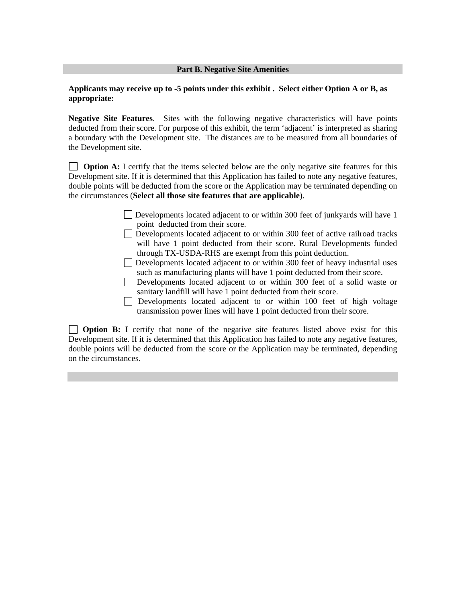#### **Part B. Negative Site Amenities**

#### **Applicants may receive up to -5 points under this exhibit . Select either Option A or B, as appropriate:**

**Negative Site Features**. Sites with the following negative characteristics will have points deducted from their score. For purpose of this exhibit, the term 'adjacent' is interpreted as sharing a boundary with the Development site. The distances are to be measured from all boundaries of the Development site.

**Option A:** I certify that the items selected below are the only negative site features for this Development site. If it is determined that this Application has failed to note any negative features, double points will be deducted from the score or the Application may be terminated depending on the circumstances (**Select all those site features that are applicable**).

- Developments located adjacent to or within 300 feet of junkyards will have 1 point deducted from their score.
- Developments located adjacent to or within 300 feet of active railroad tracks will have 1 point deducted from their score. Rural Developments funded through TX-USDA-RHS are exempt from this point deduction.
- Developments located adjacent to or within 300 feet of heavy industrial uses such as manufacturing plants will have 1 point deducted from their score.
- Developments located adjacent to or within 300 feet of a solid waste or sanitary landfill will have 1 point deducted from their score.
- Developments located adjacent to or within 100 feet of high voltage transmission power lines will have 1 point deducted from their score.

**Option B:** I certify that none of the negative site features listed above exist for this Development site. If it is determined that this Application has failed to note any negative features, double points will be deducted from the score or the Application may be terminated, depending on the circumstances.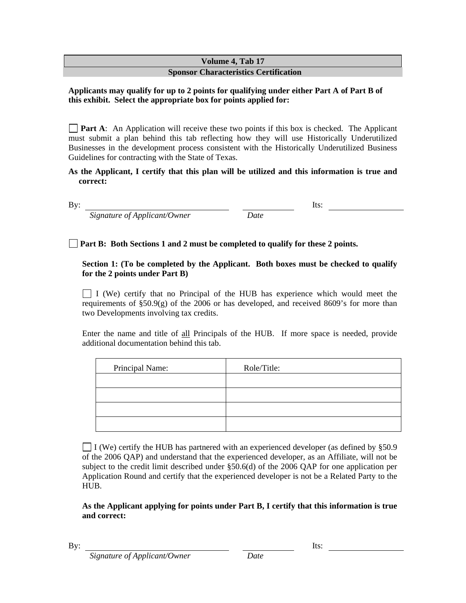# **Volume 4, Tab 17 Sponsor Characteristics Certification**

# **Applicants may qualify for up to 2 points for qualifying under either Part A of Part B of this exhibit. Select the appropriate box for points applied for:**

**Part A:** An Application will receive these two points if this box is checked. The Applicant must submit a plan behind this tab reflecting how they will use Historically Underutilized Businesses in the development process consistent with the Historically Underutilized Business Guidelines for contracting with the State of Texas.

## **As the Applicant, I certify that this plan will be utilized and this information is true and correct:**

By: Its:

 *Signature of Applicant/Owner Date* 

# **Part B: Both Sections 1 and 2 must be completed to qualify for these 2 points.**

# **Section 1: (To be completed by the Applicant. Both boxes must be checked to qualify for the 2 points under Part B)**

 $\Box$  I (We) certify that no Principal of the HUB has experience which would meet the requirements of  $\S50.9(g)$  of the 2006 or has developed, and received 8609's for more than two Developments involving tax credits.

Enter the name and title of all Principals of the HUB. If more space is needed, provide additional documentation behind this tab.

| Principal Name: | Role/Title: |
|-----------------|-------------|
|                 |             |
|                 |             |
|                 |             |
|                 |             |

I (We) certify the HUB has partnered with an experienced developer (as defined by §50.9 of the 2006 QAP) and understand that the experienced developer, as an Affiliate, will not be subject to the credit limit described under §50.6(d) of the 2006 QAP for one application per Application Round and certify that the experienced developer is not be a Related Party to the HUB.

# **As the Applicant applying for points under Part B, I certify that this information is true and correct:**

By: Its: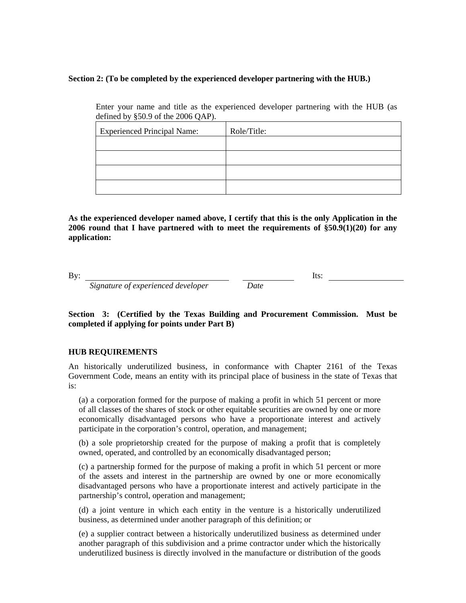#### **Section 2: (To be completed by the experienced developer partnering with the HUB.)**

Enter your name and title as the experienced developer partnering with the HUB (as defined by §50.9 of the 2006 QAP).

| <b>Experienced Principal Name:</b> | Role/Title: |
|------------------------------------|-------------|
|                                    |             |
|                                    |             |
|                                    |             |
|                                    |             |

**As the experienced developer named above, I certify that this is the only Application in the 2006 round that I have partnered with to meet the requirements of §50.9(1)(20) for any application:** 

By: Its:

 *Signature of experienced developer Date* 

**Section 3: (Certified by the Texas Building and Procurement Commission. Must be completed if applying for points under Part B)** 

#### **HUB REQUIREMENTS**

An historically underutilized business, in conformance with Chapter 2161 of the Texas Government Code, means an entity with its principal place of business in the state of Texas that is:

(a) a corporation formed for the purpose of making a profit in which 51 percent or more of all classes of the shares of stock or other equitable securities are owned by one or more economically disadvantaged persons who have a proportionate interest and actively participate in the corporation's control, operation, and management;

(b) a sole proprietorship created for the purpose of making a profit that is completely owned, operated, and controlled by an economically disadvantaged person;

(c) a partnership formed for the purpose of making a profit in which 51 percent or more of the assets and interest in the partnership are owned by one or more economically disadvantaged persons who have a proportionate interest and actively participate in the partnership's control, operation and management;

(d) a joint venture in which each entity in the venture is a historically underutilized business, as determined under another paragraph of this definition; or

(e) a supplier contract between a historically underutilized business as determined under another paragraph of this subdivision and a prime contractor under which the historically underutilized business is directly involved in the manufacture or distribution of the goods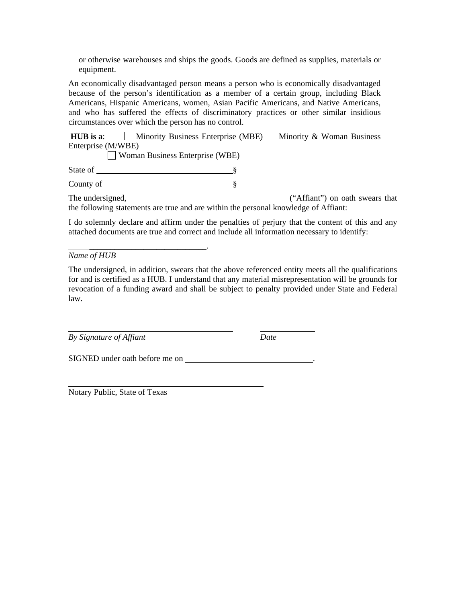or otherwise warehouses and ships the goods. Goods are defined as supplies, materials or equipment.

An economically disadvantaged person means a person who is economically disadvantaged because of the person's identification as a member of a certain group, including Black Americans, Hispanic Americans, women, Asian Pacific Americans, and Native Americans, and who has suffered the effects of discriminatory practices or other similar insidious circumstances over which the person has no control.

**HUB is a:**  $\Box$  Minority Business Enterprise (MBE)  $\Box$  Minority & Woman Business Enterprise (M/WBE)

Woman Business Enterprise (WBE)

State of <u>subsequently set and set and set and set and set and set and set and set and set and set and set and set and set and set and set and set and set and set and set and set and set and set and set and set and set and</u>

County of S

\_\_\_\_\_\_\_\_\_\_\_\_\_\_\_\_\_\_\_\_\_\_\_\_\_\_\_\_.

The undersigned,  $($ "Affiant") on oath swears that the following statements are true and are within the personal knowledge of Affiant:

I do solemnly declare and affirm under the penalties of perjury that the content of this and any attached documents are true and correct and include all information necessary to identify:

*Name of HUB* 

The undersigned, in addition, swears that the above referenced entity meets all the qualifications for and is certified as a HUB. I understand that any material misrepresentation will be grounds for revocation of a funding award and shall be subject to penalty provided under State and Federal law.

*By Signature of Affiant Date* 

SIGNED under oath before me on .

Notary Public, State of Texas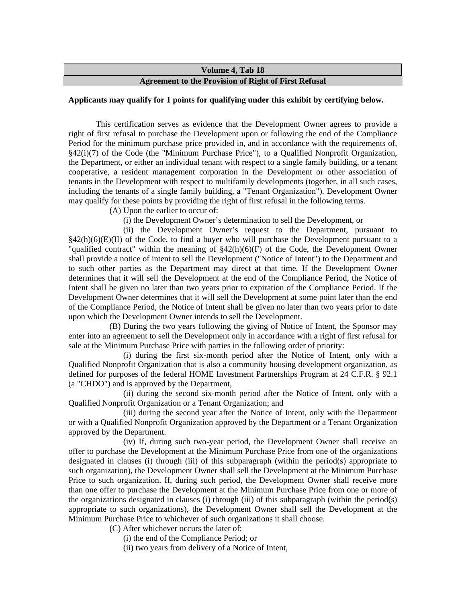#### **Agreement to the Provision of Right of First Refusal**

#### **Applicants may qualify for 1 points for qualifying under this exhibit by certifying below.**

This certification serves as evidence that the Development Owner agrees to provide a right of first refusal to purchase the Development upon or following the end of the Compliance Period for the minimum purchase price provided in, and in accordance with the requirements of, §42(i)(7) of the Code (the "Minimum Purchase Price"), to a Qualified Nonprofit Organization, the Department, or either an individual tenant with respect to a single family building, or a tenant cooperative, a resident management corporation in the Development or other association of tenants in the Development with respect to multifamily developments (together, in all such cases, including the tenants of a single family building, a "Tenant Organization"). Development Owner may qualify for these points by providing the right of first refusal in the following terms.

(A) Upon the earlier to occur of:

(i) the Development Owner's determination to sell the Development, or

(ii) the Development Owner's request to the Department, pursuant to  $§42(h)(6)(E)(II)$  of the Code, to find a buyer who will purchase the Development pursuant to a "qualified contract" within the meaning of §42(h)(6)(F) of the Code, the Development Owner shall provide a notice of intent to sell the Development ("Notice of Intent") to the Department and to such other parties as the Department may direct at that time. If the Development Owner determines that it will sell the Development at the end of the Compliance Period, the Notice of Intent shall be given no later than two years prior to expiration of the Compliance Period. If the Development Owner determines that it will sell the Development at some point later than the end of the Compliance Period, the Notice of Intent shall be given no later than two years prior to date upon which the Development Owner intends to sell the Development.

(B) During the two years following the giving of Notice of Intent, the Sponsor may enter into an agreement to sell the Development only in accordance with a right of first refusal for sale at the Minimum Purchase Price with parties in the following order of priority:

(i) during the first six-month period after the Notice of Intent, only with a Qualified Nonprofit Organization that is also a community housing development organization, as defined for purposes of the federal HOME Investment Partnerships Program at 24 C.F.R. § 92.1 (a "CHDO") and is approved by the Department,

(ii) during the second six-month period after the Notice of Intent, only with a Qualified Nonprofit Organization or a Tenant Organization; and

(iii) during the second year after the Notice of Intent, only with the Department or with a Qualified Nonprofit Organization approved by the Department or a Tenant Organization approved by the Department.

(iv) If, during such two-year period, the Development Owner shall receive an offer to purchase the Development at the Minimum Purchase Price from one of the organizations designated in clauses (i) through (iii) of this subparagraph (within the period(s) appropriate to such organization), the Development Owner shall sell the Development at the Minimum Purchase Price to such organization. If, during such period, the Development Owner shall receive more than one offer to purchase the Development at the Minimum Purchase Price from one or more of the organizations designated in clauses (i) through (iii) of this subparagraph (within the period(s) appropriate to such organizations), the Development Owner shall sell the Development at the Minimum Purchase Price to whichever of such organizations it shall choose.

(C) After whichever occurs the later of:

(i) the end of the Compliance Period; or

(ii) two years from delivery of a Notice of Intent,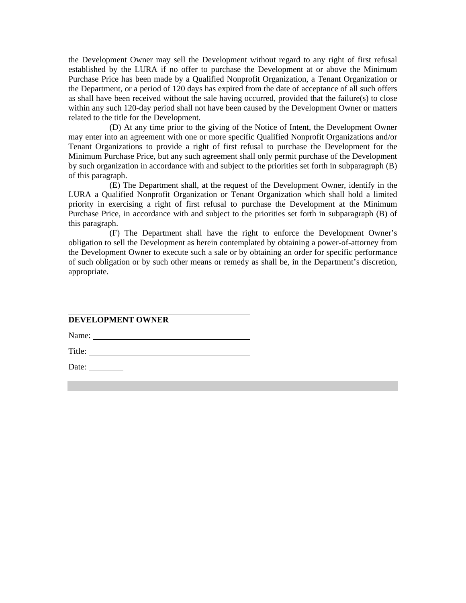the Development Owner may sell the Development without regard to any right of first refusal established by the LURA if no offer to purchase the Development at or above the Minimum Purchase Price has been made by a Qualified Nonprofit Organization, a Tenant Organization or the Department, or a period of 120 days has expired from the date of acceptance of all such offers as shall have been received without the sale having occurred, provided that the failure(s) to close within any such 120-day period shall not have been caused by the Development Owner or matters related to the title for the Development.

(D) At any time prior to the giving of the Notice of Intent, the Development Owner may enter into an agreement with one or more specific Qualified Nonprofit Organizations and/or Tenant Organizations to provide a right of first refusal to purchase the Development for the Minimum Purchase Price, but any such agreement shall only permit purchase of the Development by such organization in accordance with and subject to the priorities set forth in subparagraph (B) of this paragraph.

(E) The Department shall, at the request of the Development Owner, identify in the LURA a Qualified Nonprofit Organization or Tenant Organization which shall hold a limited priority in exercising a right of first refusal to purchase the Development at the Minimum Purchase Price, in accordance with and subject to the priorities set forth in subparagraph (B) of this paragraph.

(F) The Department shall have the right to enforce the Development Owner's obligation to sell the Development as herein contemplated by obtaining a power-of-attorney from the Development Owner to execute such a sale or by obtaining an order for specific performance of such obligation or by such other means or remedy as shall be, in the Department's discretion, appropriate.

# **DEVELOPMENT OWNER**

Name:

Title:

Date: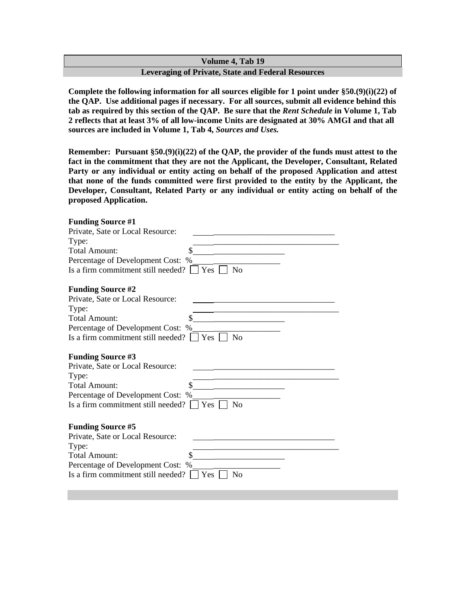# **Volume 4, Tab 19 Leveraging of Private, State and Federal Resources**

**Complete the following information for all sources eligible for 1 point under §50.(9)(i)(22) of the QAP. Use additional pages if necessary. For all sources, submit all evidence behind this tab as required by this section of the QAP. Be sure that the** *Rent Schedule* **in Volume 1, Tab 2 reflects that at least 3% of all low-income Units are designated at 30% AMGI and that all sources are included in Volume 1, Tab 4,** *Sources and Uses.* 

**Remember: Pursuant §50.(9)(i)(22) of the QAP, the provider of the funds must attest to the fact in the commitment that they are not the Applicant, the Developer, Consultant, Related Party or any individual or entity acting on behalf of the proposed Application and attest that none of the funds committed were first provided to the entity by the Applicant, the Developer, Consultant, Related Party or any individual or entity acting on behalf of the proposed Application.** 

| <b>Funding Source #1</b>                                                                                    |
|-------------------------------------------------------------------------------------------------------------|
| Private, Sate or Local Resource:                                                                            |
| Type:                                                                                                       |
| Total Amount:                                                                                               |
| Percentage of Development Cost: %                                                                           |
| Is a firm commitment still needed? $\vert$ $\vert$ Yes $\vert$<br>N <sub>o</sub>                            |
| <b>Funding Source #2</b>                                                                                    |
| Private, Sate or Local Resource:                                                                            |
| Type:                                                                                                       |
| <b>Total Amount:</b>                                                                                        |
| Percentage of Development Cost: %                                                                           |
| Is a firm commitment still needed? $\Box$ Yes $\Box$<br>N <sub>0</sub>                                      |
| <b>Funding Source #3</b>                                                                                    |
| Private, Sate or Local Resource:                                                                            |
| Type:                                                                                                       |
| Total Amount:                                                                                               |
| Percentage of Development Cost: %                                                                           |
| Is a firm commitment still needed? $\Box$ Yes $\Box$<br>No                                                  |
| <b>Funding Source #5</b>                                                                                    |
| Private, Sate or Local Resource:                                                                            |
| Type:                                                                                                       |
| Total Amount:                                                                                               |
|                                                                                                             |
|                                                                                                             |
| Percentage of Development Cost: %<br>Is a firm commitment still needed? $\Box$ Yes $\Box$<br>N <sub>0</sub> |